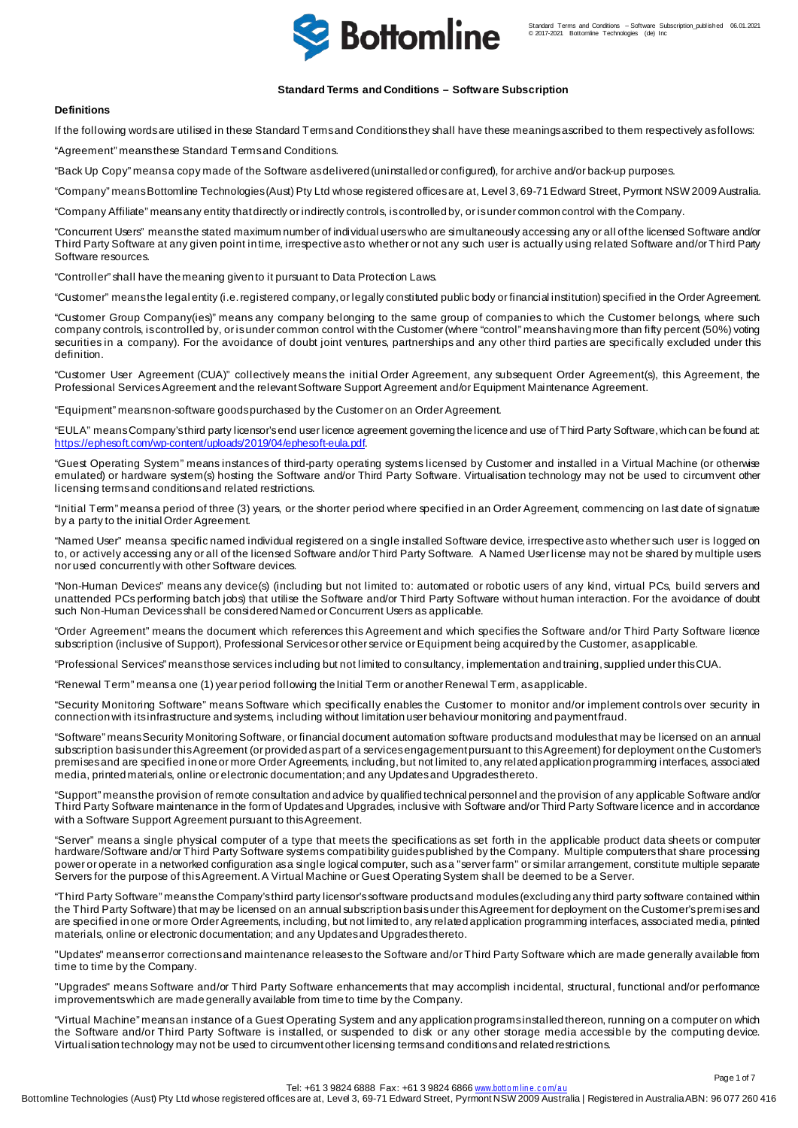

# **Standard Terms and Conditions – Software Subscription**

# **Definitions**

If the following words are utilised in these Standard Terms and Conditions they shall have these meanings ascribed to them respectively as follows:

"Agreement" means these Standard Terms and Conditions.

"Back Up Copy" means a copy made of the Software as delivered (uninstalled or configured), for archive and/or back-up purposes.

"Company" means Bottomline Technologies (Aust) Pty Ltd whose registered offices are at, Level 3, 69-71 Edward Street, Pyrmont NSW 2009Australia.

"Company Affiliate" means any entity that directly or indirectly controls, is controlled by, or is under common control with the Company.

"Concurrent Users" means the stated maximum number of individual users who are simultaneously accessing any or all of the licensed Software and/or Third Party Software at any given point in time, irrespective as to whether or not any such user is actually using related Software and/or Third Party Software resources.

"Controller" shall have the meaning given to it pursuant to Data Protection Laws.

"Customer" means the legal entity (i.e. registered company, or legally constituted public body or financial institution) specified in the Order Agreement.

"Customer Group Company(ies)" means any company belonging to the same group of companies to which the Customer belongs, where such company controls, is controlled by, or is under common control with the Customer (where "control" means having more than fifty percent (50%) voting securities in a company). For the avoidance of doubt joint ventures, partnerships and any other third parties are specifically excluded under this definition.

"Customer User Agreement (CUA)" collectively means the initial Order Agreement, any subsequent Order Agreement(s), this Agreement, the Professional Services Agreement and the relevant Software Support Agreement and/or Equipment Maintenance Agreement.

"Equipment" means non-software goods purchased by the Customer on an Order Agreement.

"EULA" means Company's third party licensor's end user licence agreement governing the licence and use of Third Party Software, which can be found at: <https://ephesoft.com/wp-content/uploads/2019/04/ephesoft-eula.pdf>.

"Guest Operating System" means instances of third-party operating systems licensed by Customer and installed in a Virtual Machine (or otherwise emulated) or hardware system(s) hosting the Software and/or Third Party Software. Virtualisation technology may not be used to circumvent other licensing terms and conditions and related restrictions.

"Initial Term" means a period of three (3) years, or the shorter period where specified in an Order Agreement, commencing on last date of signature by a party to the initial Order Agreement.

"Named User" meansa specific named individual registered on a single installed Software device, irrespective as to whether such user is logged on to, or actively accessing any or all of the licensed Software and/or Third Party Software. A Named User license may not be shared by multiple users nor used concurrently with other Software devices.

"Non-Human Devices" means any device(s) (including but not limited to: automated or robotic users of any kind, virtual PCs, build servers and unattended PCs performing batch jobs) that utilise the Software and/or Third Party Software without human interaction. For the avoidance of doubt such Non-Human Devices shall be considered Named or Concurrent Users as applicable.

"Order Agreement" means the document which references this Agreement and which specifies the Software and/or Third Party Software licence subscription (inclusive of Support), Professional Services or other service or Equipment being acquired by the Customer, as applicable.

"Professional Services" means those services including but not limited to consultancy, implementation and training,supplied under this CUA.

"Renewal Term" means a one (1) year period following the Initial Term or another Renewal Term, as applicable.

"Security Monitoring Software" means Software which specifically enables the Customer to monitor and/or implement controls over security in connection with its infrastructure and systems, including without limitation user behaviour monitoring and payment fraud.

"Software" meansSecurity Monitoring Software, or financial document automation software productsand modules that may be licensed on an annual subscription basis under this Agreement (or provided as part of a services engagementpursuant to this Agreement) for deployment on the Customer's premises and are specified in one or more Order Agreements, including, but not limited to, any related application programming interfaces, associated media, printed materials, online or electronic documentation;and any Updates and Upgradesthereto.

"Support" means the provision of remote consultation and advice by qualified technical personnel and the provision of any applicable Software and/or Third Party Software maintenance in the form of Updates and Upgrades, inclusive with Software and/or Third Party Software licence and in accordance with a Software Support Agreement pursuant to this Agreement.

"Server" means a single physical computer of a type that meets the specifications as set forth in the applicable product data sheets or computer hardware/Software and/or Third Party Software systems compatibility guides published by the Company. Multiple computers that share processing power or operate in a networked configuration as a single logical computer, such as a "server farm" or similar arrangement, constitute multiple separate Servers for the purpose of this Agreement. A Virtual Machine or Guest OperatingSystem shall be deemed to be a Server.

"Third Party Software" means the Company's third party licensor's software productsand modules (excluding any third party software contained within the Third Party Software) that may be licensed on an annual subscription basis under this Agreement for deployment on the Customer's premises and are specified in one or more Order Agreements, including, but not limited to, any related application programming interfaces, associated media, printed materials, online or electronic documentation; and any Updates and Upgrades thereto.

"Updates" means error corrections and maintenance releases to the Software and/or Third Party Software which are made generally available from time to time by the Company.

"Upgrades" means Software and/or Third Party Software enhancements that may accomplish incidental, structural, functional and/or performance improvements which are made generally available from time to time by the Company.

"Virtual Machine" means an instance of a Guest Operating System and any application programs installed thereon, running on a computer on which the Software and/or Third Party Software is installed, or suspended to disk or any other storage media accessible by the computing device. Virtualisation technology may not be used to circumvent other licensing terms and conditions and related restrictions.

Page 1 of 7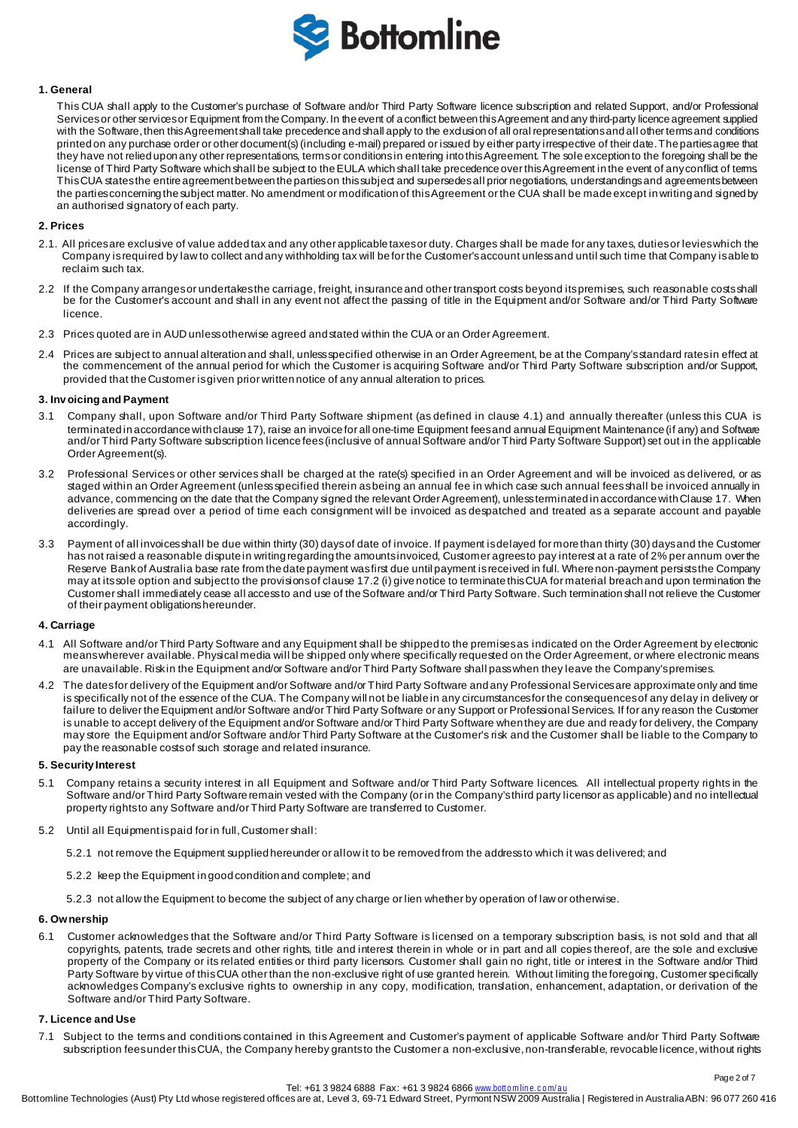

## **1. General**

This CUA shall apply to the Customer's purchase of Software and/or Third Party Software licence subscription and related Support, and/or Professional Services or other services or Equipment from the Company. In the event of a conflict between this Agreement and any third-party licence agreement supplied with the Software, then this Agreement shall take precedence and shall apply to the exclusion of all oral representations and all other terms and conditions printed on any purchase order or other document(s) (including e-mail) prepared or issued by either party irrespective of their date. The parties agree that they have not relied upon any other representations, terms or conditions in entering into this Agreement. The sole exception to the foregoing shall be the license of Third Party Software which shall be subject to the EULA which shall take precedence over this Agreement in the event of any conflict of terms. This CUA states the entire agreement between the parties on this subject and supersedes all prior negotiations, understandings and agreements between the parties concerning the subject matter. No amendment or modification of this Agreement or the CUA shall be made except in writing and signed by an authorised signatory of each party.

# **2. Prices**

- 2.1. All prices are exclusive of value added tax and any other applicable taxes or duty. Charges shall be made for any taxes, duties or levies which the Company is required by law to collect and any withholding tax will be for the Customer's account unless and until such time that Company is able to reclaim such tax.
- 2.2 If the Company arranges or undertakes the carriage, freight, insurance and other transport costs beyond its premises, such reasonable costs shall be for the Customer's account and shall in any event not affect the passing of title in the Equipment and/or Software and/or Third Party Software licence.
- 2.3 Prices quoted are in AUD unless otherwise agreed and stated within the CUA or an Order Agreement.
- 2.4 Prices are subject to annual alteration and shall, unless specified otherwise in an Order Agreement, be at the Company's standard rates in effect at the commencement of the annual period for which the Customer is acquiring Software and/or Third Party Software subscription and/or Support, provided that the Customer is given prior written notice of any annual alteration to prices.

#### **3. Inv oicing and Payment**

- 3.1 Company shall, upon Software and/or Third Party Software shipment (as defined in clause 4.1) and annually thereafter (unless this CUA is terminated in accordance with clause 17), raise an invoice for all one-time Equipment fees and annual Equipment Maintenance (if any) and Software and/or Third Party Software subscription licence fees(inclusive of annual Software and/or Third Party Software Support) set out in the applicable Order Agreement(s).
- 3.2 Professional Services or other services shall be charged at the rate(s) specified in an Order Agreement and will be invoiced as delivered, or as staged within an Order Agreement (unless specified therein as being an annual fee in which case such annual fees shall be invoiced annually in advance, commencing on the date that the Company signed the relevant Order Agreement), unless terminated in accordance with Clause 17. When deliveries are spread over a period of time each consignment will be invoiced as despatched and treated as a separate account and payable accordingly.
- 3.3 Payment of all invoices shall be due within thirty (30) days of date of invoice. If payment is delayed for more than thirty (30) days and the Customer has not raised a reasonable dispute in writing regarding the amounts invoiced, Customer agrees to pay interest at a rate of 2% per annum over the Reserve Bank of Australia base rate from the date payment was first due until payment is received in full. Where non-payment persists the Company may at its sole option and subject to the provisions of clause 17.2 (i) give notice to terminate this CUA for material breach and upon termination the Customer shall immediately cease all access to and use of theSoftware and/or Third Party Software. Such termination shall not relieve the Customer of their payment obligations hereunder.

#### **4. Carriage**

- 4.1 All Software and/or Third Party Software and any Equipment shall be shipped to the premises as indicated on the Order Agreement by electronic means wherever available. Physical media will be shipped only where specifically requested on the Order Agreement, or where electronic means are unavailable. Risk in the Equipment and/or Software and/or Third Party Software shall pass when they leave the Company's premises.
- 4.2 The dates for delivery of the Equipment and/or Software and/or Third Party Software and any Professional Services are approximate only and time is specifically not of the essence of the CUA. The Company will not be liable in any circumstances for the consequences of any delay in delivery or failure to deliver the Equipment and/or Software and/or Third Party Software or any Support or Professional Services. If for any reason the Customer is unable to accept delivery of the Equipment and/or Software and/or Third Party Software when they are due and ready for delivery, the Company may store the Equipment and/or Software and/or Third Party Software at the Customer's risk and the Customer shall be liable to the Company to pay the reasonable costs of such storage and related insurance.

#### **5. Security Interest**

- 5.1 Company retains a security interest in all Equipment and Software and/or Third Party Software licences. All intellectual property rights in the Software and/or Third Party Software remain vested with the Company (or in the Company's third party licensor as applicable) and no intellectual property rights to any Software and/or Third Party Software are transferred to Customer.
- 5.2 Until all Equipment is paid for in full, Customer shall:
	- 5.2.1 not remove the Equipment supplied hereunder or allow it to be removed from the address to which it was delivered; and
	- 5.2.2 keep the Equipment in good condition and complete; and
	- 5.2.3 not allow the Equipment to become the subject of any charge or lien whether by operation of law or otherwise.

### **6. Ownership**

6.1 Customer acknowledges that the Software and/or Third Party Software is licensed on a temporary subscription basis, is not sold and that all copyrights, patents, trade secrets and other rights, title and interest therein in whole or in part and all copies thereof, are the sole and exclusive property of the Company or its related entities or third party licensors. Customer shall gain no right, title or interest in the Software and/or Third Party Software by virtue of this CUA other than the non-exclusive right of use granted herein. Without limiting the foregoing, Customer specifically acknowledges Company's exclusive rights to ownership in any copy, modification, translation, enhancement, adaptation, or derivation of the Software and/or Third Party Software.

## **7. Licence and Use**

7.1 Subject to the terms and conditions contained in this Agreement and Customer's payment of applicable Software and/or Third Party Software subscription fees under this CUA, the Company hereby grants to the Customer a non-exclusive, non-transferable, revocable licence, without rights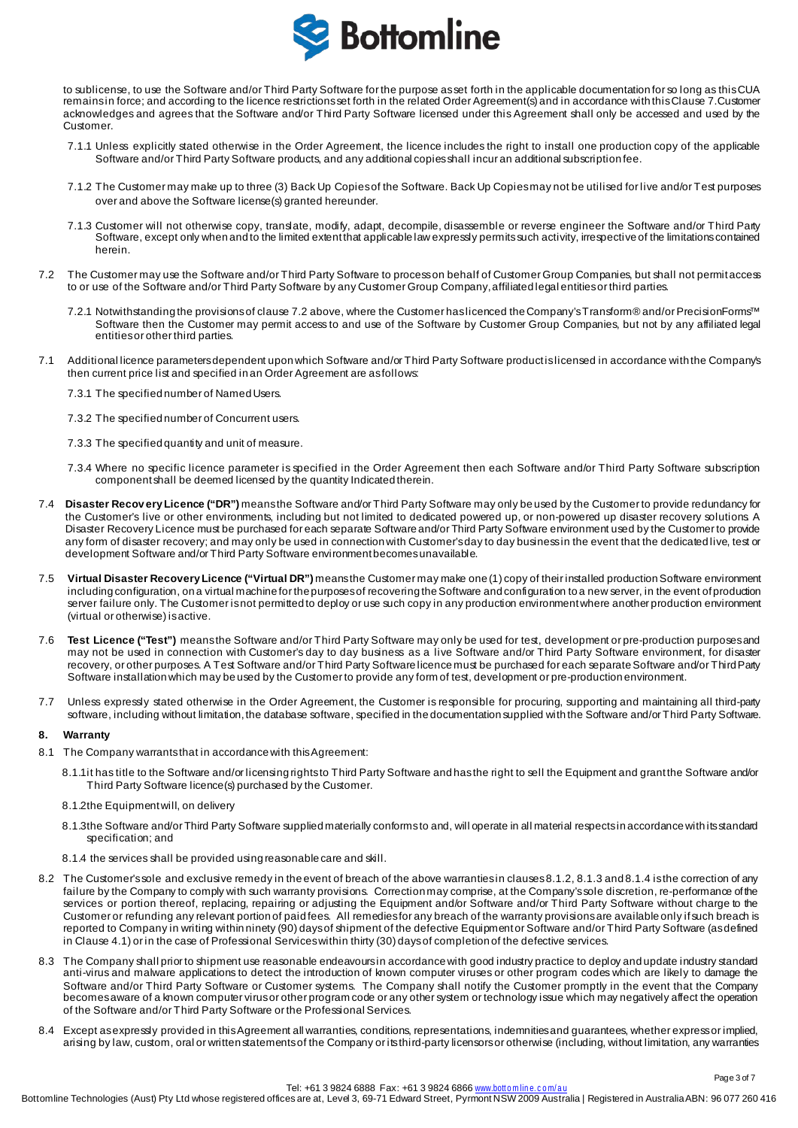

to sublicense, to use the Software and/or Third Party Software for the purpose as set forth in the applicable documentation for so long as this CUA remains in force; and according to the licence restrictions set forth in the related Order Agreement(s) and in accordance with this Clause 7.Customer acknowledges and agrees that the Software and/or Third Party Software licensed under this Agreement shall only be accessed and used by the Customer.

- 7.1.1 Unless explicitly stated otherwise in the Order Agreement, the licence includes the right to install one production copy of the applicable Software and/or Third Party Software products, and any additional copies shall incur an additional subscription fee.
- 7.1.2 The Customer may make up to three (3) Back Up Copies of the Software. Back Up Copies may not be utilised for live and/or Test purposes over and above the Software license(s) granted hereunder.
- 7.1.3 Customer will not otherwise copy, translate, modify, adapt, decompile, disassemble or reverse engineer the Software and/or Third Party Software, except only when and to the limited extent that applicable law expressly permits such activity, irrespective of the limitations contained herein.
- 7.2 The Customer may use the Software and/or Third Party Software to process on behalf of Customer Group Companies, but shall not permit access to or use of the Software and/or Third Party Software by any Customer Group Company, affiliated legal entities or third parties.
	- 7.2.1 Notwithstanding the provisions of clause 7.2 above, where the Customer has licenced the Company's Transform® and/or PrecisionForms™ Software then the Customer may permit access to and use of the Software by Customer Group Companies, but not by any affiliated legal entities or other third parties.
- 7.1 Additional licence parameters dependent upon which Software and/or Third Party Software product is licensed in accordance with the Company's then current price list and specified in an Order Agreement are as follows:
	- 7.3.1 The specified number of Named Users.
	- 7.3.2 The specified number of Concurrent users.
	- 7.3.3 The specified quantity and unit of measure.
	- 7.3.4 Where no specific licence parameter is specified in the Order Agreement then each Software and/or Third Party Software subscription component shall be deemed licensed by the quantity Indicated therein.
- 7.4 **Disaster Recov ery Licence ("DR")** means the Software and/or Third Party Software may only be used by the Customer to provide redundancy for the Customer's live or other environments, including but not limited to dedicated powered up, or non-powered up disaster recovery solutions. A Disaster Recovery Licence must be purchased for each separate Software and/or Third Party Software environment used by the Customer to provide any form of disaster recovery; and may only be used in connection with Customer's day to day business in the event that the dedicated live, test or development Software and/or Third Party Software environment becomes unavailable.
- 7.5 **Virtual Disaster Recovery Licence ("Virtual DR")** means the Customer may make one (1) copy of their installed production Software environment including configuration, on a virtual machine for the purposes of recovering the Software and configuration to a new server, in the event of production server failure only. The Customer is not permitted to deploy or use such copy in any production environment where another production environment (virtual or otherwise) is active.
- 7.6 **Test Licence ("Test")** means the Software and/or Third Party Software may only be used for test, development or pre-production purposes and may not be used in connection with Customer's day to day business as a live Software and/or Third Party Software environment, for disaster recovery, or other purposes. A Test Software and/or Third Party Software licence must be purchased for each separate Software and/or Third Party Software installation which may be used by the Customer to provide any form of test, development or pre-production environment.
- 7.7 Unless expressly stated otherwise in the Order Agreement, the Customer is responsible for procuring, supporting and maintaining all third-party software, including without limitation, the database software, specified in the documentation supplied with the Software and/or Third Party Software.

# **8. Warranty**

- 8.1 The Company warrants that in accordance with this Agreement:
	- 8.1.1it has title to the Software and/or licensing rights to Third Party Software and has the right to sell the Equipment and grant the Software and/or Third Party Software licence(s) purchased by the Customer.
	- 8.1.2the Equipment will, on delivery
	- 8.1.3the Software and/or Third Party Software supplied materially conforms to and, will operate in all material respects in accordance with its standard specification; and
	- 8.1.4 the services shall be provided using reasonable care and skill.
- 8.2 The Customer's sole and exclusive remedy in the event of breach of the above warranties in clauses 8.1.2, 8.1.3 and 8.1.4 is the correction of any failure by the Company to comply with such warranty provisions. Correction may comprise, at the Company's sole discretion, re-performance of the services or portion thereof, replacing, repairing or adjusting the Equipment and/or Software and/or Third Party Software without charge to the Customer or refunding any relevant portion of paid fees. All remedies for any breach of the warranty provisions are available only if such breach is reported to Company in writing within ninety (90) days of shipment of the defective Equipment or Software and/or Third Party Software (as defined in Clause 4.1) or in the case of Professional Serviceswithin thirty (30) days of completion of the defective services.
- 8.3 The Company shall prior to shipment use reasonable endeavours in accordance with good industry practice to deploy and update industry standard anti-virus and malware applications to detect the introduction of known computer viruses or other program codes which are likely to damage the Software and/or Third Party Software or Customer systems. The Company shall notify the Customer promptly in the event that the Company becomes aware of a known computer virus or other program code or any other system or technology issue which may negatively affect the operation of the Software and/or Third Party Software or the Professional Services.
- 8.4 Except as expressly provided in this Agreement all warranties, conditions, representations, indemnities and guarantees, whether express or implied, arising by law, custom, oral or written statements of the Company or its third-party licensors or otherwise (including, without limitation, any warranties

Page 3 of 7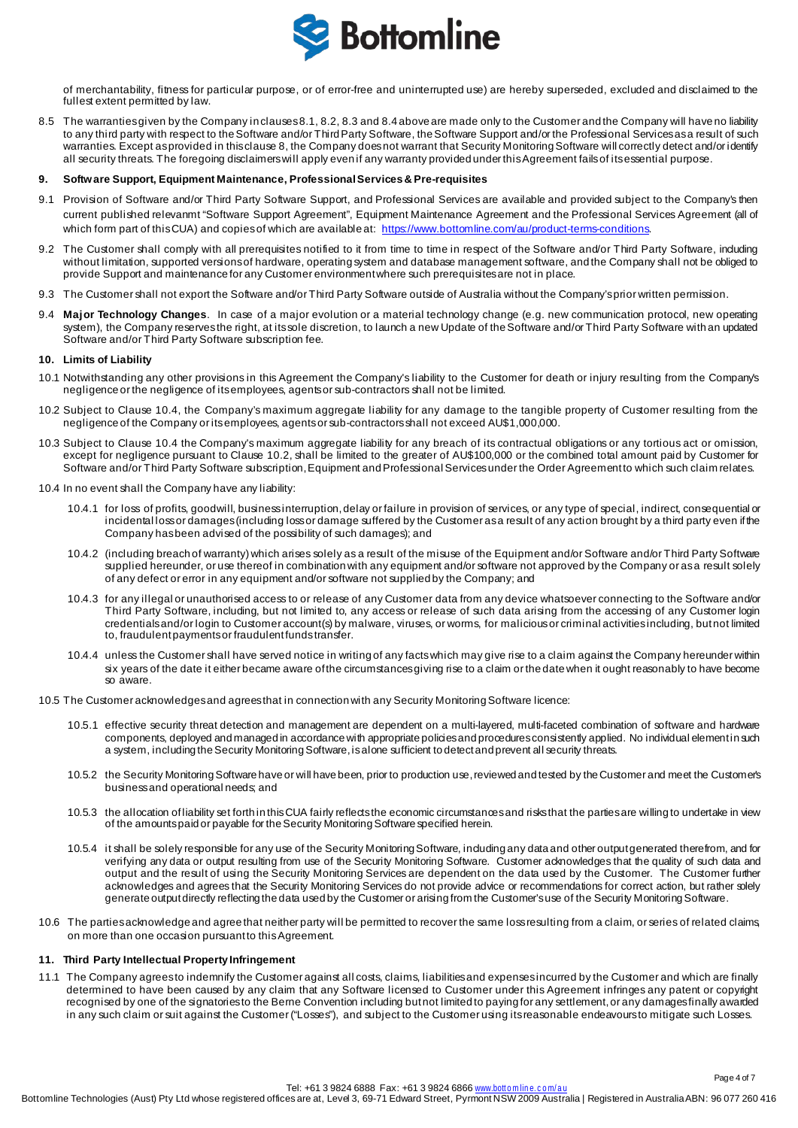

of merchantability, fitness for particular purpose, or of error-free and uninterrupted use) are hereby superseded, excluded and disclaimed to the fullest extent permitted by law.

8.5 The warranties given by the Company in clauses 8.1, 8.2, 8.3 and 8.4 above are made only to the Customer and the Company will have no liability to any third party with respect to the Software and/or Third Party Software, the Software Support and/or the Professional Services as a result of such warranties. Except as provided in this clause 8, the Company does not warrant that Security Monitoring Software will correctly detect and/or identify all security threats. The foregoing disclaimers will apply even if any warranty provided under this Agreement fails of its essential purpose.

### **9. Software Support, Equipment Maintenance, Professional Services& Pre-requisites**

- 9.1 Provision of Software and/or Third Party Software Support, and Professional Services are available and provided subject to the Company's then current published relevanmt "Software Support Agreement", Equipment Maintenance Agreement and the Professional Services Agreement (all of which form part of this CUA) and copies of which are available at[: https://www.bottomline.com/au/product-terms-conditions](https://www.bottomline.com/au/product-terms-conditions)
- 9.2 The Customer shall comply with all prerequisites notified to it from time to time in respect of the Software and/or Third Party Software, induding without limitation, supported versions of hardware, operating system and database management software, and the Company shall not be obliged to provide Support and maintenance for any Customer environment where such prerequisites are not in place.
- 9.3 The Customer shall not export the Software and/or Third Party Software outside of Australia without the Company's prior written permission.
- 9.4 Major Technology Changes. In case of a major evolution or a material technology change (e.g. new communication protocol, new operating system), the Company reserves the right, at its sole discretion, to launch a new Update of the Software and/or Third Party Software with an updated Software and/or Third Party Software subscription fee.

### **10. Limits of Liability**

- 10.1 Notwithstanding any other provisions in this Agreement the Company's liability to the Customer for death or injury resulting from the Company's negligence or the negligence of its employees, agents or sub-contractors shall not be limited.
- 10.2 Subject to Clause 10.4, the Company's maximum aggregate liability for any damage to the tangible property of Customer resulting from the negligence of the Company or its employees, agents or sub-contractors shall not exceed AU\$1,000,000.
- 10.3 Subject to Clause 10.4 the Company's maximum aggregate liability for any breach of its contractual obligations or any tortious act or omission, except for negligence pursuant to Clause 10.2, shall be limited to the greater of AU\$100,000 or the combined total amount paid by Customer for Software and/or Third Party Software subscription, Equipment and Professional Services under the Order Agreement to which such claim relates.
- 10.4 In no event shall the Company have any liability:
	- 10.4.1 for loss of profits, goodwill, business interruption, delay or failure in provision of services, or any type of special, indirect, consequential or incidental loss or damages (including loss or damage suffered by the Customer as a result of any action brought by a third party even if the Company has been advised of the possibility of such damages); and
	- 10.4.2 (including breach of warranty) which arises solely as a result of the misuse of the Equipment and/or Software and/or Third Party Software supplied hereunder, or use thereof in combination with any equipment and/or software not approved by the Company or as a result solely of any defect or error in any equipment and/or software not supplied by the Company; and
	- 10.4.3 for any illegal or unauthorised access to or release of any Customer data from any device whatsoever connecting to the Software and/or Third Party Software, including, but not limited to, any access or release of such data arising from the accessing of any Customer login credentials and/or login to Customer account(s) by malware, viruses, or worms, for malicious or criminal activities including, but not limited to, fraudulent payments or fraudulent funds transfer.
	- 10.4.4 unless the Customer shall have served notice in writing of any facts which may give rise to a claim against the Company hereunder within six years of the date it either became aware of the circumstances giving rise to a claim or the date when it ought reasonably to have become so aware.
- 10.5 The Customer acknowledges and agrees that in connection with any Security Monitoring Software licence:
	- 10.5.1 effective security threat detection and management are dependent on a multi-layered, multi-faceted combination of software and hardware components, deployed and managed in accordance with appropriate policies and procedures consistently applied. No individual element in such a system, including the Security Monitoring Software, is alone sufficient to detect and prevent all security threats.
	- 10.5.2 the Security Monitoring Software have or will have been, prior to production use, reviewed and tested by the Customer and meet the Customer's business and operational needs; and
	- 10.5.3 the allocation of liability set forth in this CUA fairly reflects the economic circumstances and risks that the parties are willing to undertake in view of the amounts paid or payable for the Security Monitoring Software specified herein.
	- 10.5.4 it shall be solely responsible for any use of the Security Monitoring Software, including any data and other output generated therefrom, and for verifying any data or output resulting from use of the Security Monitoring Software. Customer acknowledges that the quality of such data and output and the result of using the Security Monitoring Services are dependent on the data used by the Customer. The Customer further acknowledges and agrees that the Security Monitoring Services do not provide advice or recommendations for correct action, but rather solely generate outputdirectly reflecting the data used by the Customer or arising from the Customer's use of the Security Monitoring Software.
- 10.6 The parties acknowledge and agree that neither party will be permitted to recover the same loss resulting from a claim, or series of related claims, on more than one occasion pursuant to this Agreement.

## **11. Third Party Intellectual Property Infringement**

11.1 The Company agrees to indemnify the Customer against all costs, claims, liabilities and expenses incurred by the Customer and which are finally determined to have been caused by any claim that any Software licensed to Customer under this Agreement infringes any patent or copyright recognised by one of the signatories to the Berne Convention including but not limited to paying for any settlement, or any damages finally awarded in any such claim or suit against the Customer ("Losses"), and subject to the Customer using its reasonable endeavours to mitigate such Losses.

Page 4 of 7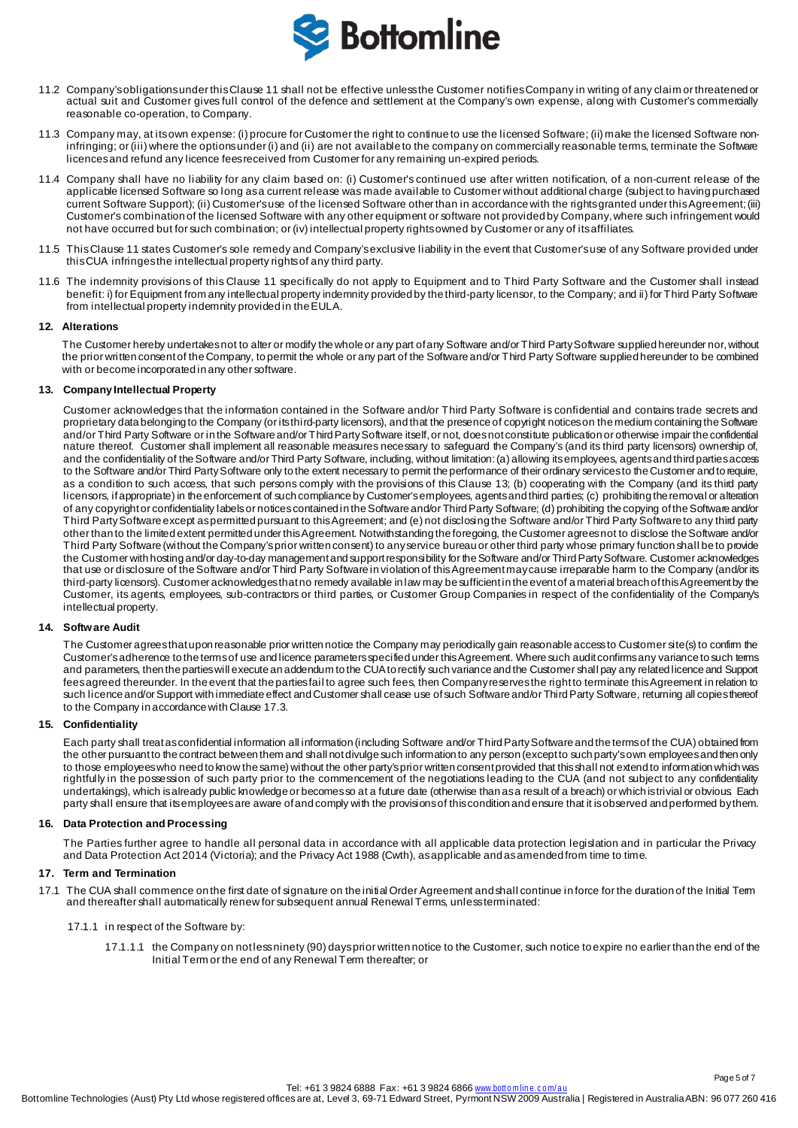

- 11.2 Company's obligations under this Clause 11 shall not be effective unlessthe Customer notifies Company in writing of any claim or threatened or actual suit and Customer gives full control of the defence and settlement at the Company's own expense, along with Customer's commercially reasonable co-operation, to Company.
- 11.3 Company may, at its own expense: (i) procure for Customer the right to continue to use the licensed Software; (ii) make the licensed Software noninfringing; or (iii) where the options under (i) and (ii) are not available to the company on commercially reasonable terms, terminate the Software licences and refund any licence fees received from Customer for any remaining un-expired periods.
- 11.4 Company shall have no liability for any claim based on: (i) Customer's continued use after written notification, of a non-current release of the applicable licensed Software so long as a current release was made available to Customer without additional charge (subject to having purchased current Software Support); (ii) Customer's use of the licensed Software other than in accordance with the rights granted under this Agreement;(iii) Customer's combination of the licensed Software with any other equipment or software not provided by Company, where such infringement would not have occurred but for such combination; or (iv) intellectual property rights owned by Customer or any of its affiliates.
- 11.5 This Clause 11 states Customer's sole remedy and Company's exclusive liability in the event that Customer's use of any Software provided under this CUA infringes the intellectual property rights of any third party.
- 11.6 The indemnity provisions of this Clause 11 specifically do not apply to Equipment and to Third Party Software and the Customer shall instead benefit: i) for Equipment from any intellectual property indemnity provided by the third-party licensor, to the Company; and ii) for Third Party Software from intellectual property indemnity provided in the EULA.

### **12. Alterations**

The Customer hereby undertakesnot to alter or modify the whole or any part of any Software and/or Third Party Software supplied hereunder nor, without the prior written consent of the Company, to permit the whole or any part of the Software and/or Third Party Software supplied hereunder to be combined with or become incorporated in any other software.

### **13. Company Intellectual Property**

Customer acknowledges that the information contained in the Software and/or Third Party Software is confidential and contains trade secrets and proprietary data belonging to the Company (or its third-party licensors), and that the presence of copyright notices on the medium containing the Software and/or Third Party Software or in the Software and/or Third Party Software itself, or not, does not constitute publication or otherwise impair the confidential nature thereof. Customer shall implement all reasonable measures necessary to safeguard the Company's (and its third party licensors) ownership of, and the confidentiality of the Software and/or Third Party Software, including, without limitation: (a) allowing its employees, agents and third parties access to the Software and/or Third Party Software only to the extent necessary to permit the performance of their ordinary services to the Customer and to require, as a condition to such access, that such persons comply with the provisions of this Clause 13; (b) cooperating with the Company (and its third party licensors, if appropriate) in the enforcement of such compliance by Customer's employees, agents and third parties; (c) prohibiting the removal or alteration of any copyright or confidentiality labels or notices contained in the Software and/or Third Party Software; (d) prohibiting the copying of the Software and/or Third Party Software except as permitted pursuant to this Agreement; and (e) not disclosing the Software and/or Third Party Software to any third party other than to the limited extent permitted under this Agreement. Notwithstanding the foregoing, the Customer agrees not to disclose the Software and/or Third Party Software (without the Company'sprior written consent) to any service bureau or other third party whose primary function shall be to provide the Customer with hosting and/or day-to-day management and support responsibility for the Software and/or Third Party Software. Customer acknowledges that use or disclosure of the Software and/or Third Party Software in violation of this Agreement may cause irreparable harm to the Company (and/or its third-party licensors). Customer acknowledges that no remedy available in law may be sufficient in the event of a material breach of this Agreement by the Customer, its agents, employees, sub-contractors or third parties, or Customer Group Companies in respect of the confidentiality of the Company's intellectual property.

#### **14. Software Audit**

The Customer agrees that upon reasonable prior written notice the Company may periodically gain reasonable access to Customer site(s) to confirm the Customer's adherence to the terms of use and licence parameters specified under this Agreement. Where such audit confirms any variance to such terms and parameters, then the parties will execute an addendum to the CUAto rectify such variance and the Customer shall pay any related licence and Support fees agreed thereunder. In the event that the parties fail to agree such fees, then Company reserves the right to terminate this Agreement in relation to such licence and/or Support with immediate effect and Customer shall cease use of such Software and/or Third Party Software, returning all copies thereof to the Company in accordance with Clause 17.3.

## **15. Confidentiality**

Each party shall treat as confidential information all information (including Software and/or Third Party Software and the terms of the CUA) obtained from the other pursuant to the contract between them and shall not divulge such information to any person (except to such party's own employees and then only to those employees who need to know the same) without the other party's prior written consent provided that this shall not extend to information which was rightfully in the possession of such party prior to the commencement of the negotiations leading to the CUA (and not subject to any confidentiality undertakings), which is already public knowledge or becomes so at a future date (otherwise than as a result of a breach) or which is trivial or obvious. Each party shall ensure that its employees are aware of and comply with the provisions of this condition and ensure that it is observed and performed by them.

#### **16. Data Protection and Processing**

The Parties further agree to handle all personal data in accordance with all applicable data protection legislation and in particular the Privacy and Data Protection Act 2014 (Victoria); and the Privacy Act 1988 (Cwth), as applicable and as amended from time to time.

## **17. Term and Termination**

17.1 The CUA shall commence on the first date of signature on the initial Order Agreement and shall continue in force for the duration of the Initial Term and thereafter shall automatically renew for subsequent annual Renewal Terms, unless terminated:

### 17.1.1 in respect of the Software by:

17.1.1.1 the Company on not less ninety (90) days prior written notice to the Customer, such notice to expire no earlier than the end of the Initial Term or the end of any Renewal Term thereafter; or

Page 5 of 7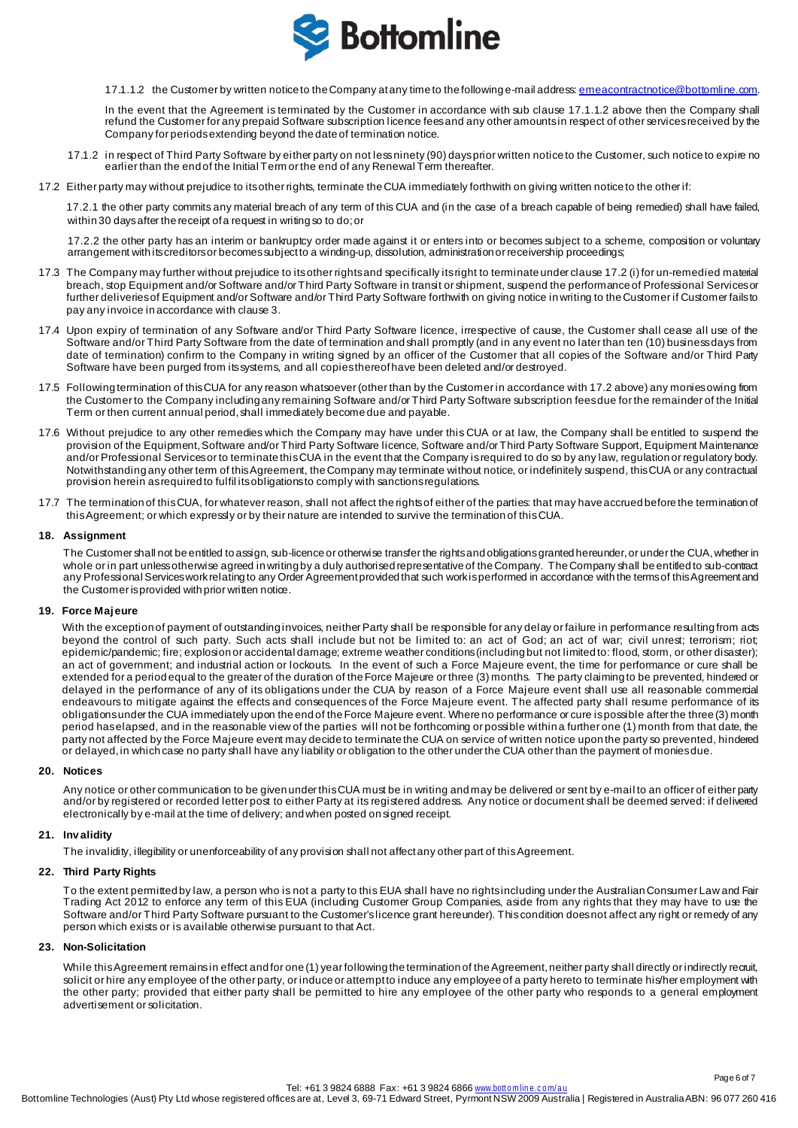

17.1.1.2 the Customer by written notice to the Company at any time to the following e-mail address[: emeacontractnotice@bottomline.com.](mailto:emeacontractnotice@bottomline.com)

In the event that the Agreement is terminated by the Customer in accordance with sub clause 17.1.1.2 above then the Company shall refund the Customer for any prepaid Software subscription licence feesand any other amounts in respect of other services received by the Company for periods extending beyond the date of termination notice.

- 17.1.2 in respect of Third Party Software by either party on not less ninety (90) days prior written notice to the Customer, such notice to expire no earlier than the end of the Initial Term or the end of any Renewal Term thereafter.
- 17.2 Either party may without prejudice to its other rights, terminate the CUA immediately forthwith on giving written notice to the other if:

17.2.1 the other party commits any material breach of any term of this CUA and (in the case of a breach capable of being remedied) shall have failed, within 30 days after the receipt of a request in writing so to do;or

17.2.2 the other party has an interim or bankruptcy order made against it or enters into or becomes subject to a scheme, composition or voluntary arrangement with its creditors or becomes subject to a winding-up, dissolution, administration or receivership proceedings;

- 17.3 The Company may further without prejudice to its other rightsand specifically its right to terminate under clause 17.2 (i) for un-remedied material breach, stop Equipment and/or Software and/or Third Party Software in transit or shipment, suspend the performance of Professional Services or further deliveries of Equipment and/or Software and/or Third Party Software forthwith on giving notice in writing to the Customer if Customer fails to pay any invoice in accordance with clause 3.
- 17.4 Upon expiry of termination of any Software and/or Third Party Software licence, irrespective of cause, the Customer shall cease all use of the Software and/or Third Party Software from the date of termination and shall promptly (and in any event no later than ten (10) business days from date of termination) confirm to the Company in writing signed by an officer of the Customer that all copies of the Software and/or Third Party Software have been purged from its systems, and all copies thereof have been deleted and/or destroyed.
- 17.5 Following termination of this CUA for any reason whatsoever (other than by the Customer in accordance with 17.2 above) any monies owing from the Customer to the Company including any remaining Software and/or Third Party Software subscription fees due for the remainder of the Initial Term or then current annual period, shall immediately become due and payable.
- 17.6 Without prejudice to any other remedies which the Company may have under this CUA or at law, the Company shall be entitled to suspend the provision of the Equipment, Software and/or Third Party Software licence, Software and/or Third Party Software Support, Equipment Maintenance and/or Professional Servicesor to terminate this CUA in the event that the Company is required to do so by any law, regulation or regulatory body. Notwithstanding any other term of this Agreement, the Company may terminate without notice, or indefinitely suspend, this CUA or any contractual provision herein as required to fulfil its obligations to comply with sanctions regulations.
- 17.7 The termination of this CUA, for whatever reason, shall not affect the rights of either of the parties: that may have accrued before the termination of this Agreement; or which expressly or by their nature are intended to survive the termination of this CUA.

### **18. Assignment**

The Customer shall not be entitled to assign, sub-licence or otherwise transfer the rights and obligations granted hereunder, or under the CUA, whether in whole or in part unless otherwise agreed in writing by a duly authorised representative of the Company. The Company shall be entitled to sub-contract any Professional Services work relating to any Order Agreement provided that such work is performed in accordance with the terms of this Agreementand the Customer is provided with prior written notice.

#### **19. Force Majeure**

With the exception of payment of outstanding invoices, neither Party shall be responsible for any delay or failure in performance resulting from acts beyond the control of such party. Such acts shall include but not be limited to: an act of God; an act of war; civil unrest; terrorism; riot; epidemic/pandemic; fire; explosion or accidental damage; extreme weather conditions (including but not limited to: flood, storm, or other disaster); an act of government; and industrial action or lockouts. In the event of such a Force Majeure event, the time for performance or cure shall be extended for a period equal to the greater of the duration of the Force Majeure or three (3) months. The party claiming to be prevented, hindered or delayed in the performance of any of its obligations under the CUA by reason of a Force Majeure event shall use all reasonable commercial endeavours to mitigate against the effects and consequences of the Force Majeure event. The affected party shall resume performance of its obligations under the CUA immediately upon the end of the Force Majeure event. Where no performance or cure is possible after the three (3) month period has elapsed, and in the reasonable view of the parties will not be forthcoming or possible within a further one (1) month from that date, the party not affected by the Force Majeure event may decide to terminate the CUA on service of written notice upon the party so prevented, hindered or delayed, in which case no party shall have any liability or obligation to the other under the CUA other than the payment of monies due.

#### **20. Notices**

Any notice or other communication to be given under this CUA must be in writing and may be delivered or sent by e-mail to an officer of either party and/or by registered or recorded letter post to either Party at its registered address. Any notice or document shall be deemed served: if delivered electronically by e-mail at the time of delivery; and when posted on signed receipt.

## **21. Inv alidity**

The invalidity, illegibility or unenforceability of any provision shall not affectany other part of this Agreement.

# **22. Third Party Rights**

To the extent permitted by law, a person who is not a party to this EUA shall have no rightsincluding under the Australian Consumer Law and Fair Trading Act 2012 to enforce any term of this EUA (including Customer Group Companies, aside from any rights that they may have to use the Software and/or Third Party Software pursuant to the Customer'slicence grant hereunder). Thiscondition doesnot affect any right or remedy of any person which exists or is available otherwise pursuant to that Act.

## **23. Non-Solicitation**

While this Agreement remains in effect and for one (1) year following the termination of the Agreement, neither party shall directly or indirectly recruit, solicit or hire any employee of the other party, or induce or attempt to induce any employee of a party hereto to terminate his/her employment with the other party; provided that either party shall be permitted to hire any employee of the other party who responds to a general employment advertisement or solicitation.